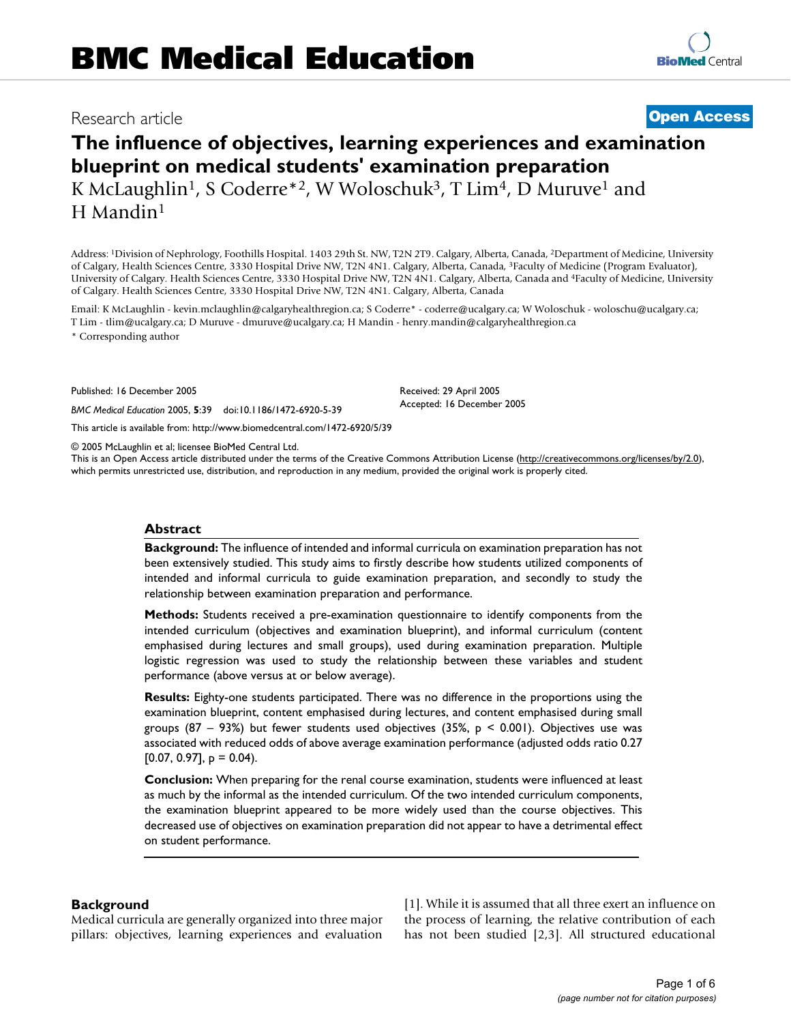## Research article **[Open Access](http://www.biomedcentral.com/info/about/charter/)**

# **The influence of objectives, learning experiences and examination blueprint on medical students' examination preparation**

K McLaughlin<sup>1</sup>, S Coderre<sup>\*2</sup>, W Woloschuk<sup>3</sup>, T Lim<sup>4</sup>, D Muruve<sup>1</sup> and H Mandin1

Address: 1Division of Nephrology, Foothills Hospital. 1403 29th St. NW, T2N 2T9. Calgary, Alberta, Canada, 2Department of Medicine, University of Calgary, Health Sciences Centre, 3330 Hospital Drive NW, T2N 4N1. Calgary, Alberta, Canada, 3Faculty of Medicine (Program Evaluator), University of Calgary. Health Sciences Centre, 3330 Hospital Drive NW, T2N 4N1. Calgary, Alberta, Canada and 4Faculty of Medicine, University of Calgary. Health Sciences Centre, 3330 Hospital Drive NW, T2N 4N1. Calgary, Alberta, Canada

Email: K McLaughlin - kevin.mclaughlin@calgaryhealthregion.ca; S Coderre\* - coderre@ucalgary.ca; W Woloschuk - woloschu@ucalgary.ca; T Lim - tlim@ucalgary.ca; D Muruve - dmuruve@ucalgary.ca; H Mandin - henry.mandin@calgaryhealthregion.ca

\* Corresponding author

Published: 16 December 2005

*BMC Medical Education* 2005, **5**:39 doi:10.1186/1472-6920-5-39

[This article is available from: http://www.biomedcentral.com/1472-6920/5/39](http://www.biomedcentral.com/1472-6920/5/39)

© 2005 McLaughlin et al; licensee BioMed Central Ltd.

This is an Open Access article distributed under the terms of the Creative Commons Attribution License [\(http://creativecommons.org/licenses/by/2.0\)](http://creativecommons.org/licenses/by/2.0), which permits unrestricted use, distribution, and reproduction in any medium, provided the original work is properly cited.

#### **Abstract**

**Background:** The influence of intended and informal curricula on examination preparation has not been extensively studied. This study aims to firstly describe how students utilized components of intended and informal curricula to guide examination preparation, and secondly to study the relationship between examination preparation and performance.

**Methods:** Students received a pre-examination questionnaire to identify components from the intended curriculum (objectives and examination blueprint), and informal curriculum (content emphasised during lectures and small groups), used during examination preparation. Multiple logistic regression was used to study the relationship between these variables and student performance (above versus at or below average).

**Results:** Eighty-one students participated. There was no difference in the proportions using the examination blueprint, content emphasised during lectures, and content emphasised during small groups  $(87 - 93%)$  but fewer students used objectives  $(35%, p < 0.001)$ . Objectives use was associated with reduced odds of above average examination performance (adjusted odds ratio 0.27  $[0.07, 0.97], p = 0.04$ .

**Conclusion:** When preparing for the renal course examination, students were influenced at least as much by the informal as the intended curriculum. Of the two intended curriculum components, the examination blueprint appeared to be more widely used than the course objectives. This decreased use of objectives on examination preparation did not appear to have a detrimental effect on student performance.

#### **Background**

Medical curricula are generally organized into three major pillars: objectives, learning experiences and evaluation [1]. While it is assumed that all three exert an influence on the process of learning, the relative contribution of each has not been studied [2,3]. All structured educational

Received: 29 April 2005 Accepted: 16 December 2005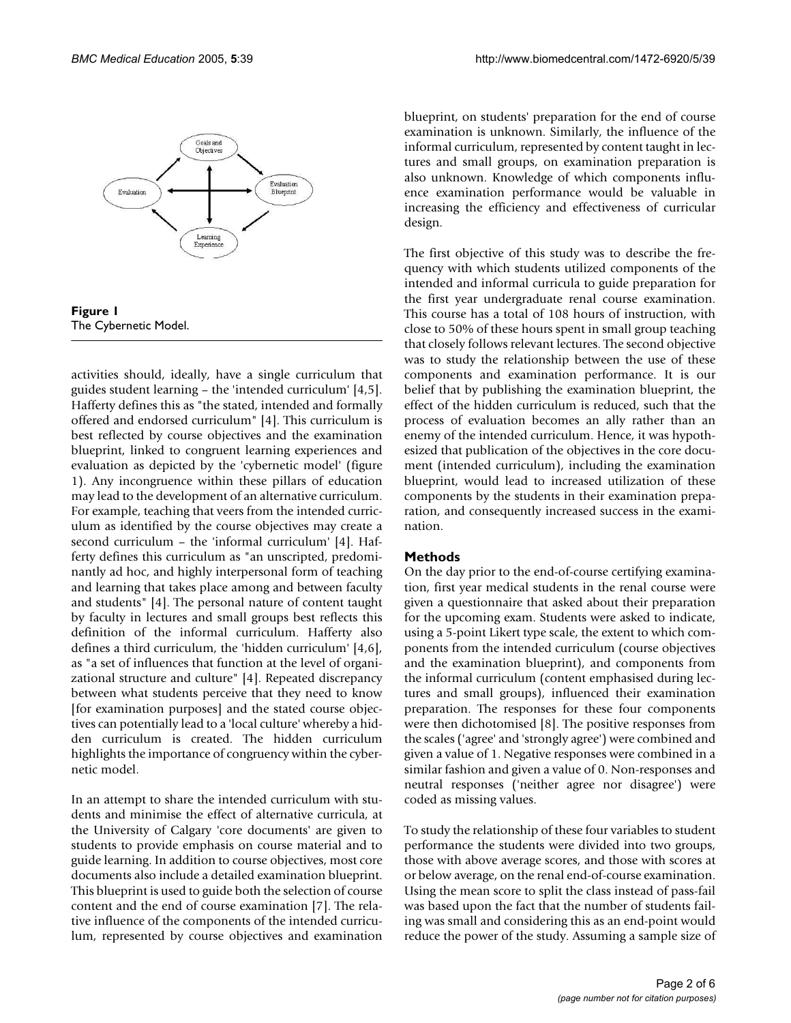



activities should, ideally, have a single curriculum that guides student learning – the 'intended curriculum' [4,5]. Hafferty defines this as "the stated, intended and formally offered and endorsed curriculum" [4]. This curriculum is best reflected by course objectives and the examination blueprint, linked to congruent learning experiences and evaluation as depicted by the 'cybernetic model' (figure 1). Any incongruence within these pillars of education may lead to the development of an alternative curriculum. For example, teaching that veers from the intended curriculum as identified by the course objectives may create a second curriculum – the 'informal curriculum' [4]. Hafferty defines this curriculum as "an unscripted, predominantly ad hoc, and highly interpersonal form of teaching and learning that takes place among and between faculty and students" [4]. The personal nature of content taught by faculty in lectures and small groups best reflects this definition of the informal curriculum. Hafferty also defines a third curriculum, the 'hidden curriculum' [4,6], as "a set of influences that function at the level of organizational structure and culture" [4]. Repeated discrepancy between what students perceive that they need to know [for examination purposes] and the stated course objectives can potentially lead to a 'local culture' whereby a hidden curriculum is created. The hidden curriculum highlights the importance of congruency within the cybernetic model.

In an attempt to share the intended curriculum with students and minimise the effect of alternative curricula, at the University of Calgary 'core documents' are given to students to provide emphasis on course material and to guide learning. In addition to course objectives, most core documents also include a detailed examination blueprint. This blueprint is used to guide both the selection of course content and the end of course examination [7]. The relative influence of the components of the intended curriculum, represented by course objectives and examination

blueprint, on students' preparation for the end of course examination is unknown. Similarly, the influence of the informal curriculum, represented by content taught in lectures and small groups, on examination preparation is also unknown. Knowledge of which components influence examination performance would be valuable in increasing the efficiency and effectiveness of curricular design.

The first objective of this study was to describe the frequency with which students utilized components of the intended and informal curricula to guide preparation for the first year undergraduate renal course examination. This course has a total of 108 hours of instruction, with close to 50% of these hours spent in small group teaching that closely follows relevant lectures. The second objective was to study the relationship between the use of these components and examination performance. It is our belief that by publishing the examination blueprint, the effect of the hidden curriculum is reduced, such that the process of evaluation becomes an ally rather than an enemy of the intended curriculum. Hence, it was hypothesized that publication of the objectives in the core document (intended curriculum), including the examination blueprint, would lead to increased utilization of these components by the students in their examination preparation, and consequently increased success in the examination.

#### **Methods**

On the day prior to the end-of-course certifying examination, first year medical students in the renal course were given a questionnaire that asked about their preparation for the upcoming exam. Students were asked to indicate, using a 5-point Likert type scale, the extent to which components from the intended curriculum (course objectives and the examination blueprint), and components from the informal curriculum (content emphasised during lectures and small groups), influenced their examination preparation. The responses for these four components were then dichotomised [8]. The positive responses from the scales ('agree' and 'strongly agree') were combined and given a value of 1. Negative responses were combined in a similar fashion and given a value of 0. Non-responses and neutral responses ('neither agree nor disagree') were coded as missing values.

To study the relationship of these four variables to student performance the students were divided into two groups, those with above average scores, and those with scores at or below average, on the renal end-of-course examination. Using the mean score to split the class instead of pass-fail was based upon the fact that the number of students failing was small and considering this as an end-point would reduce the power of the study. Assuming a sample size of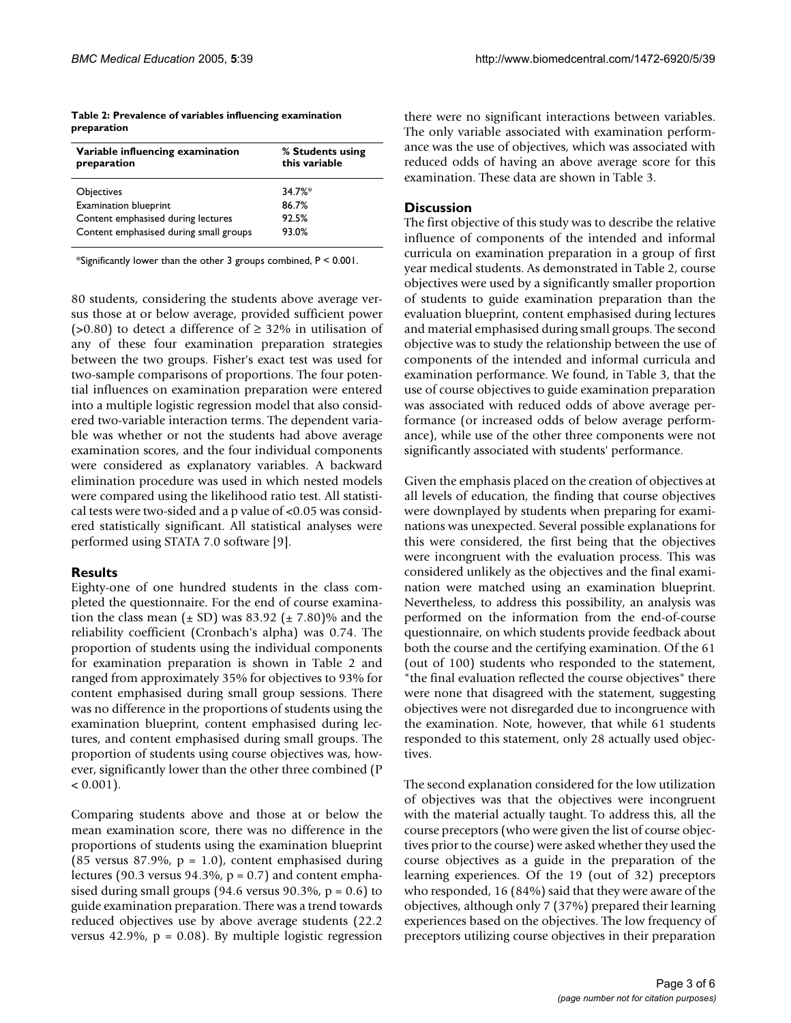| Table 2: Prevalence of variables influencing examination |  |  |
|----------------------------------------------------------|--|--|
| preparation                                              |  |  |

| Variable influencing examination<br>preparation | % Students using<br>this variable |
|-------------------------------------------------|-----------------------------------|
| <b>Objectives</b>                               | 34.7%*                            |
| <b>Examination blueprint</b>                    | 86.7%                             |
| Content emphasised during lectures              | 92.5%                             |
| Content emphasised during small groups          | 93.0%                             |

\*Significantly lower than the other 3 groups combined, P < 0.001.

80 students, considering the students above average versus those at or below average, provided sufficient power ( $>0.80$ ) to detect a difference of  $\geq 32\%$  in utilisation of any of these four examination preparation strategies between the two groups. Fisher's exact test was used for two-sample comparisons of proportions. The four potential influences on examination preparation were entered into a multiple logistic regression model that also considered two-variable interaction terms. The dependent variable was whether or not the students had above average examination scores, and the four individual components were considered as explanatory variables. A backward elimination procedure was used in which nested models were compared using the likelihood ratio test. All statistical tests were two-sided and a p value of <0.05 was considered statistically significant. All statistical analyses were performed using STATA 7.0 software [9].

#### **Results**

Eighty-one of one hundred students in the class completed the questionnaire. For the end of course examination the class mean ( $\pm$  SD) was 83.92 ( $\pm$  7.80)% and the reliability coefficient (Cronbach's alpha) was 0.74. The proportion of students using the individual components for examination preparation is shown in Table 2 and ranged from approximately 35% for objectives to 93% for content emphasised during small group sessions. There was no difference in the proportions of students using the examination blueprint, content emphasised during lectures, and content emphasised during small groups. The proportion of students using course objectives was, however, significantly lower than the other three combined (P  $< 0.001$ ).

Comparing students above and those at or below the mean examination score, there was no difference in the proportions of students using the examination blueprint (85 versus 87.9%,  $p = 1.0$ ), content emphasised during lectures (90.3 versus 94.3%,  $p = 0.7$ ) and content emphasised during small groups (94.6 versus 90.3%,  $p = 0.6$ ) to guide examination preparation. There was a trend towards reduced objectives use by above average students (22.2 versus 42.9%,  $p = 0.08$ ). By multiple logistic regression

there were no significant interactions between variables. The only variable associated with examination performance was the use of objectives, which was associated with reduced odds of having an above average score for this examination. These data are shown in Table 3.

#### **Discussion**

The first objective of this study was to describe the relative influence of components of the intended and informal curricula on examination preparation in a group of first year medical students. As demonstrated in Table 2, course objectives were used by a significantly smaller proportion of students to guide examination preparation than the evaluation blueprint, content emphasised during lectures and material emphasised during small groups. The second objective was to study the relationship between the use of components of the intended and informal curricula and examination performance. We found, in Table 3, that the use of course objectives to guide examination preparation was associated with reduced odds of above average performance (or increased odds of below average performance), while use of the other three components were not significantly associated with students' performance.

Given the emphasis placed on the creation of objectives at all levels of education, the finding that course objectives were downplayed by students when preparing for examinations was unexpected. Several possible explanations for this were considered, the first being that the objectives were incongruent with the evaluation process. This was considered unlikely as the objectives and the final examination were matched using an examination blueprint. Nevertheless, to address this possibility, an analysis was performed on the information from the end-of-course questionnaire, on which students provide feedback about both the course and the certifying examination. Of the 61 (out of 100) students who responded to the statement, "the final evaluation reflected the course objectives" there were none that disagreed with the statement, suggesting objectives were not disregarded due to incongruence with the examination. Note, however, that while 61 students responded to this statement, only 28 actually used objectives.

The second explanation considered for the low utilization of objectives was that the objectives were incongruent with the material actually taught. To address this, all the course preceptors (who were given the list of course objectives prior to the course) were asked whether they used the course objectives as a guide in the preparation of the learning experiences. Of the 19 (out of 32) preceptors who responded, 16 (84%) said that they were aware of the objectives, although only 7 (37%) prepared their learning experiences based on the objectives. The low frequency of preceptors utilizing course objectives in their preparation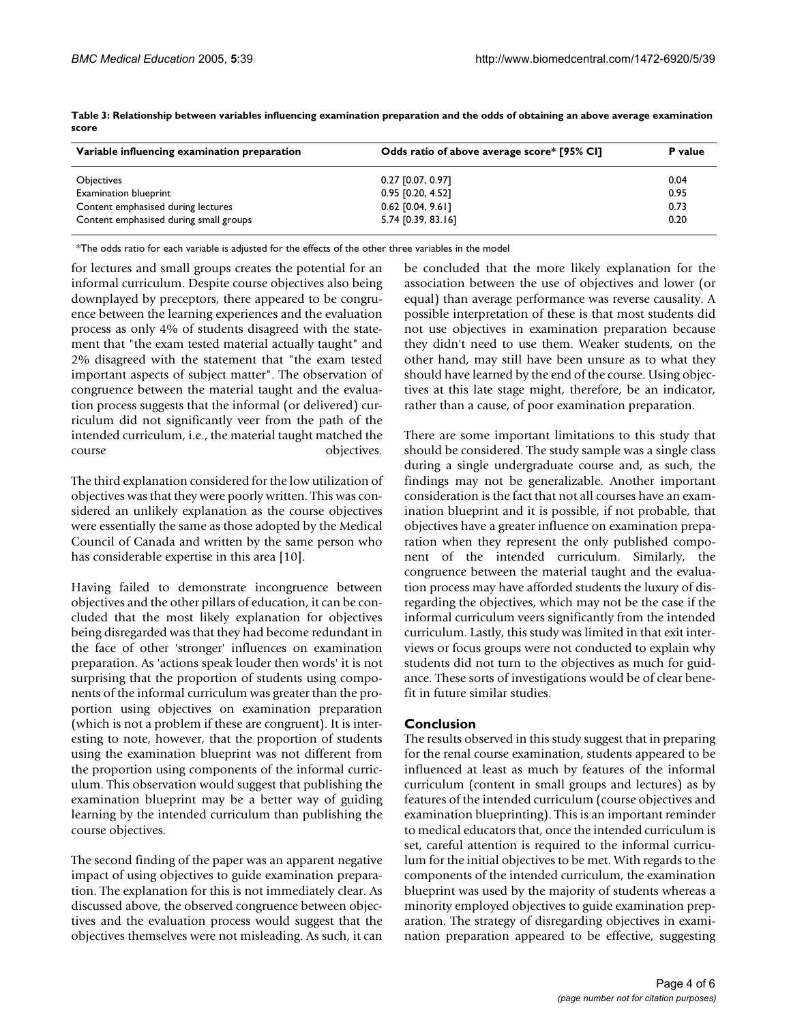| Variable influencing examination preparation | Odds ratio of above average score* [95% CI] | P value |
|----------------------------------------------|---------------------------------------------|---------|
| <b>Objectives</b>                            | $0.27$ [0.07, 0.97]                         | 0.04    |
| <b>Examination blueprint</b>                 | $0.95$ [0.20, 4.52]                         | 0.95    |
| Content emphasised during lectures           | $0.62$ [0.04, 9.61]                         | 0.73    |
| Content emphasised during small groups       | 5.74 [0.39, 83.16]                          | 0.20    |

**Table 3: Relationship between variables influencing examination preparation and the odds of obtaining an above average examination score**

\*The odds ratio for each variable is adjusted for the effects of the other three variables in the model

for lectures and small groups creates the potential for an informal curriculum. Despite course objectives also being downplayed by preceptors, there appeared to be congruence between the learning experiences and the evaluation process as only 4% of students disagreed with the statement that "the exam tested material actually taught" and 2% disagreed with the statement that "the exam tested important aspects of subject matter". The observation of congruence between the material taught and the evaluation process suggests that the informal (or delivered) curriculum did not significantly veer from the path of the intended curriculum, i.e., the material taught matched the course **objectives**.

The third explanation considered for the low utilization of objectives was that they were poorly written. This was considered an unlikely explanation as the course objectives were essentially the same as those adopted by the Medical Council of Canada and written by the same person who has considerable expertise in this area [10].

Having failed to demonstrate incongruence between objectives and the other pillars of education, it can be concluded that the most likely explanation for objectives being disregarded was that they had become redundant in the face of other 'stronger' influences on examination preparation. As 'actions speak louder then words' it is not surprising that the proportion of students using components of the informal curriculum was greater than the proportion using objectives on examination preparation (which is not a problem if these are congruent). It is interesting to note, however, that the proportion of students using the examination blueprint was not different from the proportion using components of the informal curriculum. This observation would suggest that publishing the examination blueprint may be a better way of guiding learning by the intended curriculum than publishing the course objectives.

The second finding of the paper was an apparent negative impact of using objectives to guide examination preparation. The explanation for this is not immediately clear. As discussed above, the observed congruence between objectives and the evaluation process would suggest that the objectives themselves were not misleading. As such, it can be concluded that the more likely explanation for the association between the use of objectives and lower (or equal) than average performance was reverse causality. A possible interpretation of these is that most students did not use objectives in examination preparation because they didn't need to use them. Weaker students, on the other hand, may still have been unsure as to what they should have learned by the end of the course. Using objectives at this late stage might, therefore, be an indicator, rather than a cause, of poor examination preparation.

There are some important limitations to this study that should be considered. The study sample was a single class during a single undergraduate course and, as such, the findings may not be generalizable. Another important consideration is the fact that not all courses have an examination blueprint and it is possible, if not probable, that objectives have a greater influence on examination preparation when they represent the only published component of the intended curriculum. Similarly, the congruence between the material taught and the evaluation process may have afforded students the luxury of disregarding the objectives, which may not be the case if the informal curriculum veers significantly from the intended curriculum. Lastly, this study was limited in that exit interviews or focus groups were not conducted to explain why students did not turn to the objectives as much for guidance. These sorts of investigations would be of clear benefit in future similar studies.

### **Conclusion**

The results observed in this study suggest that in preparing for the renal course examination, students appeared to be influenced at least as much by features of the informal curriculum (content in small groups and lectures) as by features of the intended curriculum (course objectives and examination blueprinting). This is an important reminder to medical educators that, once the intended curriculum is set, careful attention is required to the informal curriculum for the initial objectives to be met. With regards to the components of the intended curriculum, the examination blueprint was used by the majority of students whereas a minority employed objectives to guide examination preparation. The strategy of disregarding objectives in examination preparation appeared to be effective, suggesting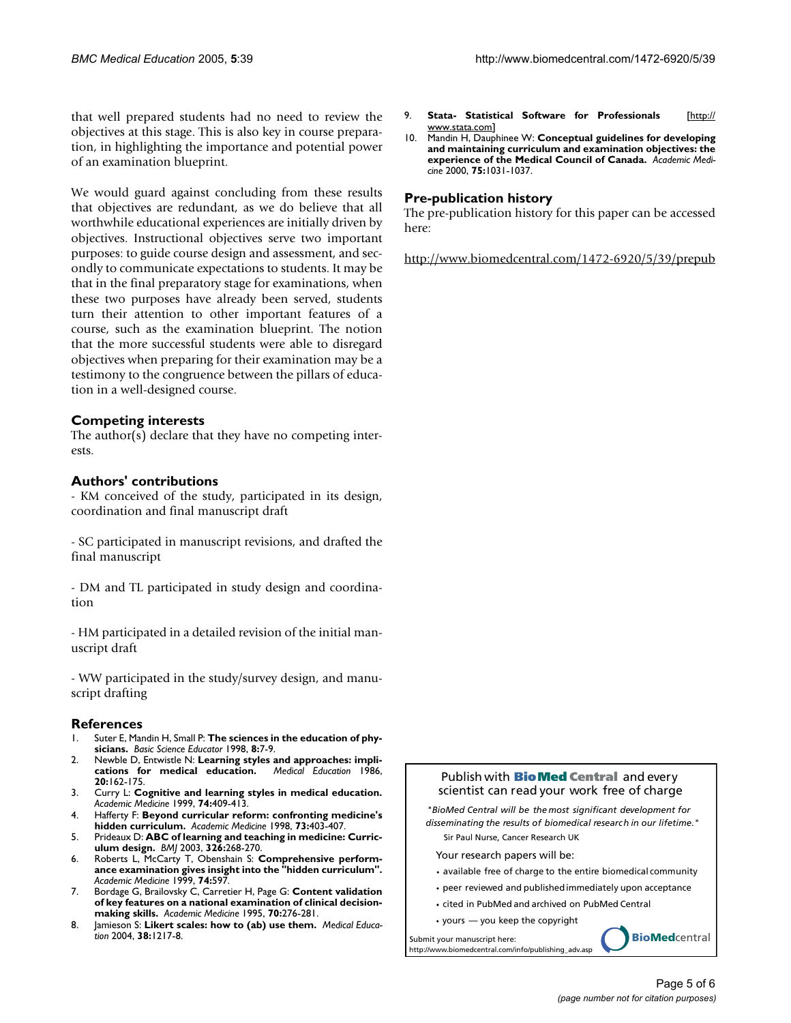that well prepared students had no need to review the objectives at this stage. This is also key in course preparation, in highlighting the importance and potential power of an examination blueprint.

We would guard against concluding from these results that objectives are redundant, as we do believe that all worthwhile educational experiences are initially driven by objectives. Instructional objectives serve two important purposes: to guide course design and assessment, and secondly to communicate expectations to students. It may be that in the final preparatory stage for examinations, when these two purposes have already been served, students turn their attention to other important features of a course, such as the examination blueprint. The notion that the more successful students were able to disregard objectives when preparing for their examination may be a testimony to the congruence between the pillars of education in a well-designed course.

#### **Competing interests**

The author(s) declare that they have no competing interests.

#### **Authors' contributions**

- KM conceived of the study, participated in its design, coordination and final manuscript draft

- SC participated in manuscript revisions, and drafted the final manuscript

- DM and TL participated in study design and coordination

- HM participated in a detailed revision of the initial manuscript draft

- WW participated in the study/survey design, and manuscript drafting

#### **References**

- 1. Suter E, Mandin H, Small P: **The sciences in the education of physicians.** *Basic Science Educator* 1998, **8:**7-9.
- 2. Newble D, Entwistle N: **[Learning styles and approaches: impli](http://www.ncbi.nlm.nih.gov/entrez/query.fcgi?cmd=Retrieve&db=PubMed&dopt=Abstract&list_uids=3724571)[cations for medical education.](http://www.ncbi.nlm.nih.gov/entrez/query.fcgi?cmd=Retrieve&db=PubMed&dopt=Abstract&list_uids=3724571)** *Medical Education* 1986, **20:**162-175.
- 3. Curry L: **[Cognitive and learning styles in medical education.](http://www.ncbi.nlm.nih.gov/entrez/query.fcgi?cmd=Retrieve&db=PubMed&dopt=Abstract&list_uids=10219223)** *Academic Medicine* 1999, **74:**409-413.
- 4. Hafferty F: **[Beyond curricular reform: confronting medicine's](http://www.ncbi.nlm.nih.gov/entrez/query.fcgi?cmd=Retrieve&db=PubMed&dopt=Abstract&list_uids=9580717) [hidden curriculum.](http://www.ncbi.nlm.nih.gov/entrez/query.fcgi?cmd=Retrieve&db=PubMed&dopt=Abstract&list_uids=9580717)** *Academic Medicine* 1998, **73:**403-407.
- 5. Prideaux D: **[ABC of learning and teaching in medicine: Curric](http://www.ncbi.nlm.nih.gov/entrez/query.fcgi?cmd=Retrieve&db=PubMed&dopt=Abstract&list_uids=12560283)[ulum design.](http://www.ncbi.nlm.nih.gov/entrez/query.fcgi?cmd=Retrieve&db=PubMed&dopt=Abstract&list_uids=12560283)** *BMJ* 2003, **326:**268-270.
- 6. Roberts L, McCarty T, Obenshain S: **[Comprehensive perform](http://www.ncbi.nlm.nih.gov/entrez/query.fcgi?cmd=Retrieve&db=PubMed&dopt=Abstract&list_uids=10676221)[ance examination gives insight into the "hidden curriculum".](http://www.ncbi.nlm.nih.gov/entrez/query.fcgi?cmd=Retrieve&db=PubMed&dopt=Abstract&list_uids=10676221)** *Academic Medicine* 1999, **74:**597.
- 7. Bordage G, Brailovsky C, Carretier H, Page G: **[Content validation](http://www.ncbi.nlm.nih.gov/entrez/query.fcgi?cmd=Retrieve&db=PubMed&dopt=Abstract&list_uids=7718059) [of key features on a national examination of clinical decision](http://www.ncbi.nlm.nih.gov/entrez/query.fcgi?cmd=Retrieve&db=PubMed&dopt=Abstract&list_uids=7718059)[making skills.](http://www.ncbi.nlm.nih.gov/entrez/query.fcgi?cmd=Retrieve&db=PubMed&dopt=Abstract&list_uids=7718059)** *Academic Medicine* 1995, **70:**276-281.
- 8. Jamieson S: **[Likert scales: how to \(ab\) use them.](http://www.ncbi.nlm.nih.gov/entrez/query.fcgi?cmd=Retrieve&db=PubMed&dopt=Abstract&list_uids=15566531)** *Medical Education* 2004, **38:**1217-8.
- 9. **Stata- Statistical Software for Professionals** [\[http://](http://www.stata.com) [www.stata.com](http://www.stata.com)]
- 10. Mandin H, Dauphinee W: **[Conceptual guidelines for developing](http://www.ncbi.nlm.nih.gov/entrez/query.fcgi?cmd=Retrieve&db=PubMed&dopt=Abstract&list_uids=11031155) [and maintaining curriculum and examination objectives: the](http://www.ncbi.nlm.nih.gov/entrez/query.fcgi?cmd=Retrieve&db=PubMed&dopt=Abstract&list_uids=11031155) [experience of the Medical Council of Canada.](http://www.ncbi.nlm.nih.gov/entrez/query.fcgi?cmd=Retrieve&db=PubMed&dopt=Abstract&list_uids=11031155)** *Academic Medicine* 2000, **75:**1031-1037.

#### **Pre-publication history**

The pre-publication history for this paper can be accessed here:

http://www.biomedcentral.com/1472-6920/5/39/prepub